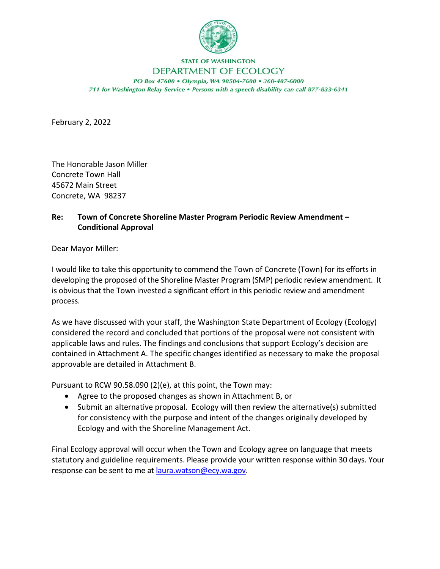

## **STATE OF WASHINGTON** DEPARTMENT OF ECOLOGY

PO Box 47600 . Olympia, WA 98504-7600 . 360-407-6000 711 for Washington Relay Service . Persons with a speech disability can call 877-833-6341

February 2, 2022

The Honorable Jason Miller Concrete Town Hall 45672 Main Street Concrete, WA 98237

## **Re: Town of Concrete Shoreline Master Program Periodic Review Amendment – Conditional Approval**

Dear Mayor Miller:

I would like to take this opportunity to commend the Town of Concrete (Town) for its efforts in developing the proposed of the Shoreline Master Program (SMP) periodic review amendment. It is obvious that the Town invested a significant effort in this periodic review and amendment process.

As we have discussed with your staff, the Washington State Department of Ecology (Ecology) considered the record and concluded that portions of the proposal were not consistent with applicable laws and rules. The findings and conclusions that support Ecology's decision are contained in Attachment A. The specific changes identified as necessary to make the proposal approvable are detailed in Attachment B.

Pursuant to RCW 90.58.090 (2)(e), at this point, the Town may:

- Agree to the proposed changes as shown in Attachment B, or
- Submit an alternative proposal. Ecology will then review the alternative(s) submitted for consistency with the purpose and intent of the changes originally developed by Ecology and with the Shoreline Management Act.

Final Ecology approval will occur when the Town and Ecology agree on language that meets statutory and guideline requirements. Please provide your written response within 30 days. Your response can be sent to me at [laura.watson@ecy.wa.gov.](mailto:laura.watson@ecy.wa.gov)